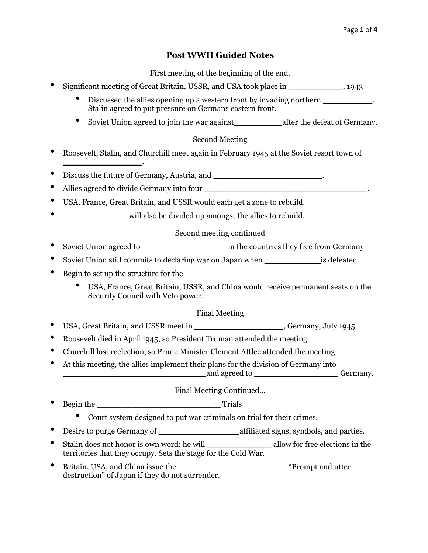# **Post WWII Guided Notes**

First meeting of the beginning of the end.

- Significant meeting of Great Britain, USSR, and USA took place in \_\_\_\_\_\_\_\_\_\_\_, 1943
	- Discussed the allies opening up a western front by invading northern \_\_\_\_\_\_\_\_\_\_\_. Stalin agreed to put pressure on Germans eastern front.
	- Soviet Union agreed to join the war against \_\_\_\_\_\_\_\_\_\_\_ after the defeat of Germany.

# Second Meeting

- Roosevelt, Stalin, and Churchill meet again in February 1945 at the Soviet resort town of
- Discuss the future of Germany, Austria, and \_\_\_\_\_\_\_\_\_\_\_\_\_\_\_\_\_\_\_\_\_\_.
- Allies agreed to divide Germany into four

\_\_\_\_\_\_\_\_\_\_\_\_\_\_\_\_.

- USA, France, Great Britain, and USSR would each get a zone to rebuild.
- will also be divided up amongst the allies to rebuild.

# Second meeting continued

- Soviet Union agreed to \_\_\_\_\_\_\_\_\_\_\_\_\_\_\_\_\_ in the countries they free from Germany
- Soviet Union still commits to declaring war on Japan when \_\_\_\_\_\_\_\_\_\_\_ is defeated.
- Begin to set up the structure for the
	- USA, France, Great Britain, USSR, and China would receive permanent seats on the Security Council with Veto power.

# Final Meeting

- USA, Great Britain, and USSR meet in \_\_\_\_\_\_\_\_\_\_\_\_\_\_\_\_\_\_, Germany, July 1945.
- Roosevelt died in April 1945, so President Truman attended the meeting.
- Churchill lost reelection, so Prime Minister Clement Attlee attended the meeting.
- At this meeting, the allies implement their plans for the division of Germany into and agreed to Germany.

# Final Meeting Continued…

# • Begin the \_\_\_\_\_\_\_\_\_\_\_\_\_\_\_\_\_\_\_\_\_\_\_\_\_ Trials

- Court system designed to put war criminals on trial for their crimes.
- Desire to purge Germany of \_\_\_\_\_\_\_\_\_\_\_\_\_\_\_\_ affiliated signs, symbols, and parties.
- Stalin does not honor is own word: he will \_\_\_\_\_\_\_\_\_\_\_\_\_ allow for free elections in the territories that they occupy. Sets the stage for the Cold War.
- Britain, USA, and China issue the <u>same and the settlement</u> and utter "Prompt and utter" destruction" of Japan if they do not surrender.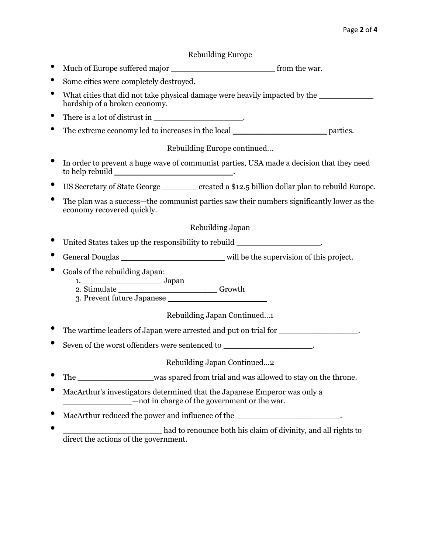#### Rebuilding Europe

- Much of Europe suffered major \_\_\_\_\_\_\_\_\_\_\_\_\_\_\_\_\_\_\_\_\_ from the war.
- Some cities were completely destroyed.
- What cities that did not take physical damage were heavily impacted by the hardship of a broken economy.
- There is a lot of distrust in  $\blacksquare$
- The extreme economy led to increases in the local \_\_\_\_\_\_\_\_\_\_\_\_\_\_\_\_\_\_\_ parties.

Rebuilding Europe continued…

- In order to prevent a huge wave of communist parties, USA made a decision that they need to help rebuild \_\_\_\_\_\_\_\_\_\_\_\_\_\_\_\_\_\_\_\_\_\_\_\_\_\_\_\_\_\_\_\_\_.
- US Secretary of State George \_\_\_\_\_\_\_ created a \$12.5 billion dollar plan to rebuild Europe.
- The plan was a success—the communist parties saw their numbers significantly lower as the economy recovered quickly.

#### Rebuilding Japan

- United States takes up the responsibility to rebuild
- General Douglas \_\_\_\_\_\_\_\_\_\_\_\_\_\_\_\_\_\_\_\_\_\_\_\_\_\_\_\_\_\_\_\_ will be the supervision of this project.
- Goals of the rebuilding Japan:
	- 1. Japan
	- 2. Stimulate Growth 3. Prevent future Japanese

Rebuilding Japan Continued…1

- The wartime leaders of Japan were arrested and put on trial for  $\blacksquare$
- Seven of the worst offenders were sentenced to \_\_\_\_\_\_\_\_\_\_\_\_\_\_\_\_\_\_\_\_\_\_\_\_.

Rebuilding Japan Continued…2

- The was spared from trial and was allowed to stay on the throne.
- MacArthur's investigators determined that the Japanese Emperor was only a \_\_\_\_\_\_\_\_\_\_\_\_\_\_—not in charge of the government or the war.
- MacArthur reduced the power and influence of the **with and influence** of the  $\cdot$
- \_\_\_\_\_\_\_\_\_\_\_\_\_\_\_\_\_\_\_\_ had to renounce both his claim of divinity, and all rights to direct the actions of the government.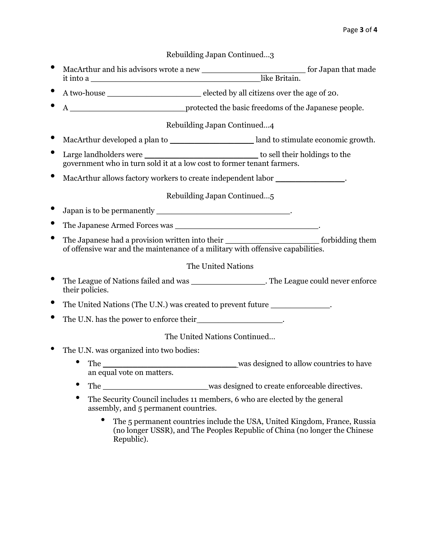Rebuilding Japan Continued…3

- MacArthur and his advisors wrote a new \_\_\_\_\_\_\_\_\_\_\_\_\_\_\_\_\_\_\_\_\_ for Japan that made it into a \_\_\_\_\_\_\_\_\_\_\_\_\_\_\_\_\_\_\_\_\_\_\_\_\_\_\_\_\_\_\_\_\_\_ like Britain.
- A two-house \_\_\_\_\_\_\_\_\_\_\_\_\_\_\_\_\_\_\_ elected by all citizens over the age of 20.
- A \_\_\_\_\_\_\_\_\_\_\_\_\_\_\_\_\_\_\_\_\_\_\_ protected the basic freedoms of the Japanese people.

Rebuilding Japan Continued…4

- MacArthur developed a plan to \_\_\_\_\_\_\_\_\_\_\_\_\_\_\_\_\_ land to stimulate economic growth.
- Large landholders were \_\_\_\_\_\_\_\_\_\_\_\_\_\_\_\_\_\_\_\_\_\_\_ to sell their holdings to the government who in turn sold it at a low cost to former tenant farmers.
- MacArthur allows factory workers to create independent labor \_\_\_\_\_\_\_\_\_\_\_\_\_\_\_\_.

Rebuilding Japan Continued…5

- Japan is to be permanently \_\_\_\_\_\_\_\_\_\_\_\_\_\_\_\_\_\_\_\_\_\_\_\_\_\_\_.
- The Japanese Armed Forces was \_\_\_\_\_\_\_\_\_\_\_\_\_\_\_\_\_\_\_\_\_\_\_\_\_\_\_\_\_.
- The Japanese had a provision written into their \_\_\_\_\_\_\_\_\_\_\_\_\_\_\_\_\_\_\_ forbidding them of offensive war and the maintenance of a military with offensive capabilities.

#### The United Nations

- The League of Nations failed and was \_\_\_\_\_\_\_\_\_\_\_\_\_\_\_\_\_\_\_\_. The League could never enforce their policies.
- The United Nations (The U.N.) was created to prevent future \_\_\_\_\_\_\_\_\_\_\_\_\_\_.
- The U.N. has the power to enforce their  $\cdot$

The United Nations Continued…

- The U.N. was organized into two bodies:
	- The \_\_\_\_\_\_\_\_\_\_\_\_\_\_\_\_\_\_\_\_\_\_\_\_\_\_\_\_\_\_\_\_\_\_was designed to allow countries to have an equal vote on matters.
	- The \_\_\_\_\_\_\_\_\_\_\_\_\_\_\_\_\_\_\_\_\_ was designed to create enforceable directives.
	- The Security Council includes 11 members, 6 who are elected by the general assembly, and 5 permanent countries.
		- The 5 permanent countries include the USA, United Kingdom, France, Russia (no longer USSR), and The Peoples Republic of China (no longer the Chinese Republic).